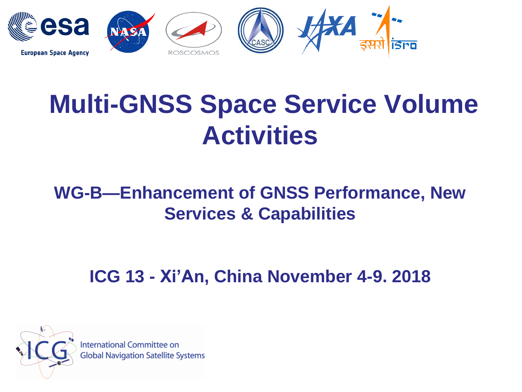

# **Multi-GNSS Space Service Volume Activities**

### **WG-B—Enhancement of GNSS Performance, New Services & Capabilities**

**ICG 13 - Xi'An, China November 4-9. 2018**



International Committee on **Global Navigation Satellite Systems**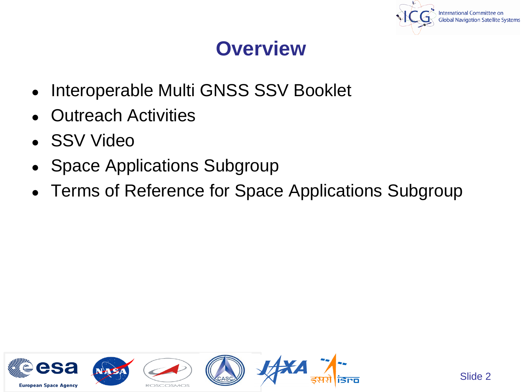

### **Overview**

- Interoperable Multi GNSS SSV Booklet
- **Outreach Activities**
- SSV Video
- **Space Applications Subgroup**
- Terms of Reference for Space Applications Subgroup

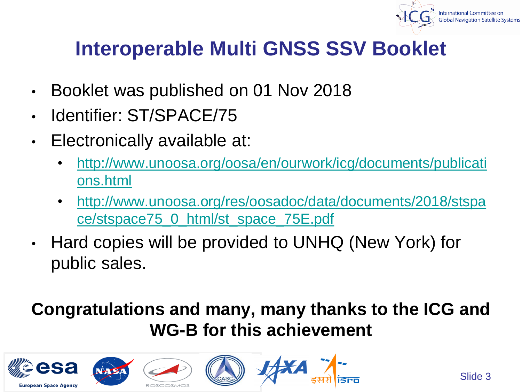

## **Interoperable Multi GNSS SSV Booklet**

- Booklet was published on 01 Nov 2018
- Identifier: ST/SPACE/75
- Electronically available at:
	- [http://www.unoosa.org/oosa/en/ourwork/icg/documents/publicati](http://www.unoosa.org/oosa/en/ourwork/icg/documents/publications.html) ons.html
	- [http://www.unoosa.org/res/oosadoc/data/documents/2018/stspa](http://www.unoosa.org/res/oosadoc/data/documents/2018/stspace/stspace75_0_html/st_space_75E.pdf) ce/stspace75\_0\_html/st\_space\_75E.pdf
- Hard copies will be provided to UNHQ (New York) for public sales.

### **Congratulations and many, many thanks to the ICG and WG-B for this achievement**

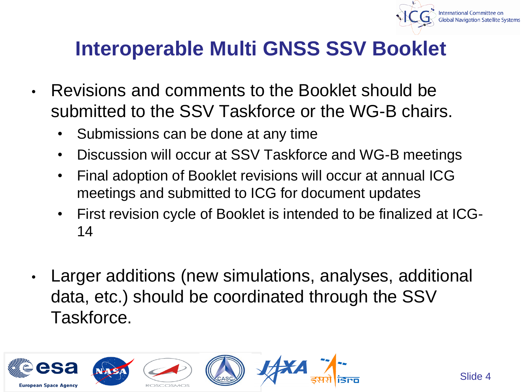

### **Interoperable Multi GNSS SSV Booklet**

- Revisions and comments to the Booklet should be submitted to the SSV Taskforce or the WG-B chairs.
	- Submissions can be done at any time
	- Discussion will occur at SSV Taskforce and WG-B meetings
	- Final adoption of Booklet revisions will occur at annual ICG meetings and submitted to ICG for document updates
	- First revision cycle of Booklet is intended to be finalized at ICG-14
- Larger additions (new simulations, analyses, additional data, etc.) should be coordinated through the SSV Taskforce.

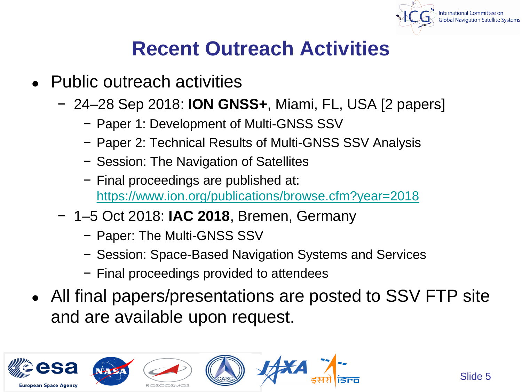

### **Recent Outreach Activities**

- Public outreach activities
	- − 24–28 Sep 2018: **ION GNSS+**, Miami, FL, USA [2 papers]
		- − Paper 1: Development of Multi-GNSS SSV
		- − Paper 2: Technical Results of Multi-GNSS SSV Analysis
		- − Session: The Navigation of Satellites
		- − Final proceedings are published at: <https://www.ion.org/publications/browse.cfm?year=2018>
	- − 1–5 Oct 2018: **IAC 2018**, Bremen, Germany
		- − Paper: The Multi-GNSS SSV
		- − Session: Space-Based Navigation Systems and Services
		- − Final proceedings provided to attendees
- All final papers/presentations are posted to SSV FTP site and are available upon request.

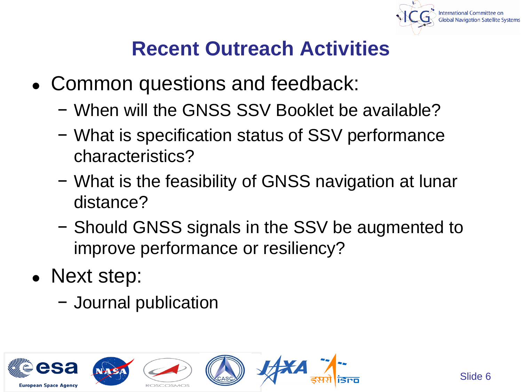

### **Recent Outreach Activities**

- Common questions and feedback:
	- − When will the GNSS SSV Booklet be available?
	- − What is specification status of SSV performance characteristics?
	- − What is the feasibility of GNSS navigation at lunar distance?
	- − Should GNSS signals in the SSV be augmented to improve performance or resiliency?
- Next step:
	- − Journal publication

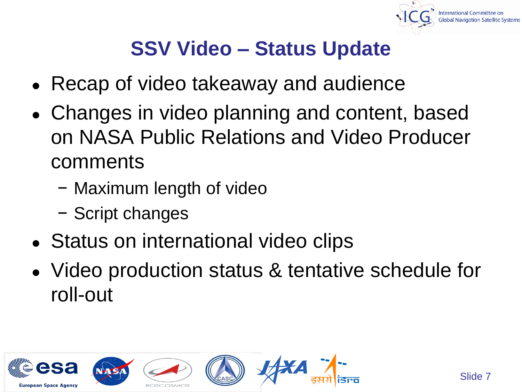

### **SSV Video – Status Update**

- Recap of video takeaway and audience
- Changes in video planning and content, based on NASA Public Relations and Video Producer comments
	- − Maximum length of video
	- − Script changes
- Status on international video clips
- Video production status & tentative schedule for roll-out

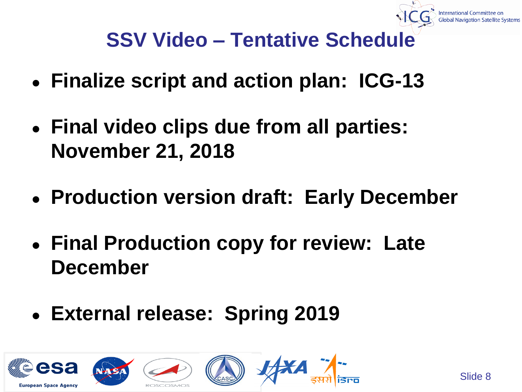## **SSV Video – Tentative Schedule**

- **Finalize script and action plan: ICG-13**
- **Final video clips due from all parties: November 21, 2018**
- **Production version draft: Early December**
- **Final Production copy for review: Late December**
- **External release: Spring 2019**

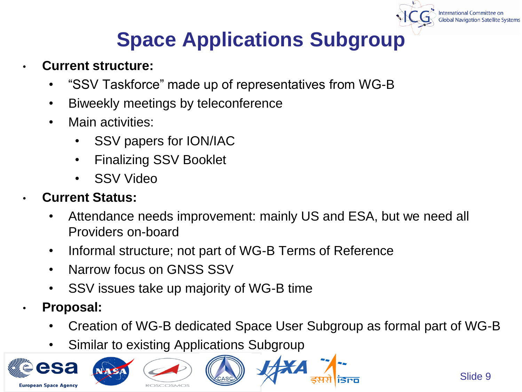## **Space Applications Subgroup**

- **Current structure:**
	- "SSV Taskforce" made up of representatives from WG-B
	- Biweekly meetings by teleconference
	- Main activities:
		- SSV papers for ION/IAC
		- Finalizing SSV Booklet
		- SSV Video

#### • **Current Status:**

- Attendance needs improvement: mainly US and ESA, but we need all Providers on-board
- Informal structure; not part of WG-B Terms of Reference
- Narrow focus on GNSS SSV
- SSV issues take up majority of WG-B time
- **Proposal:**
	- Creation of WG-B dedicated Space User Subgroup as formal part of WG-B
	- Similar to existing Applications Subgroup

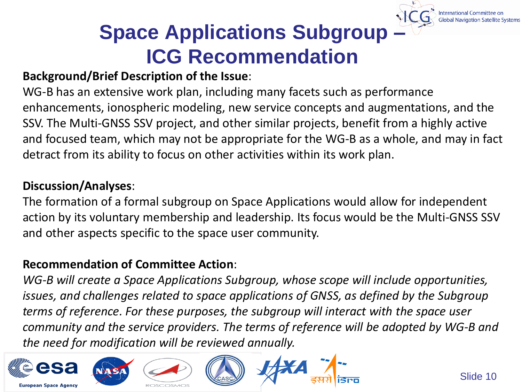## **Space Applications Subgroup – ICG Recommendation**

#### **Background/Brief Description of the Issue**:

WG-B has an extensive work plan, including many facets such as performance enhancements, ionospheric modeling, new service concepts and augmentations, and the SSV. The Multi-GNSS SSV project, and other similar projects, benefit from a highly active and focused team, which may not be appropriate for the WG-B as a whole, and may in fact detract from its ability to focus on other activities within its work plan.

#### **Discussion/Analyses**:

The formation of a formal subgroup on Space Applications would allow for independent action by its voluntary membership and leadership. Its focus would be the Multi-GNSS SSV and other aspects specific to the space user community.

#### **Recommendation of Committee Action**:

*WG-B will create a Space Applications Subgroup, whose scope will include opportunities, issues, and challenges related to space applications of GNSS, as defined by the Subgroup terms of reference. For these purposes, the subgroup will interact with the space user community and the service providers. The terms of reference will be adopted by WG-B and the need for modification will be reviewed annually.*

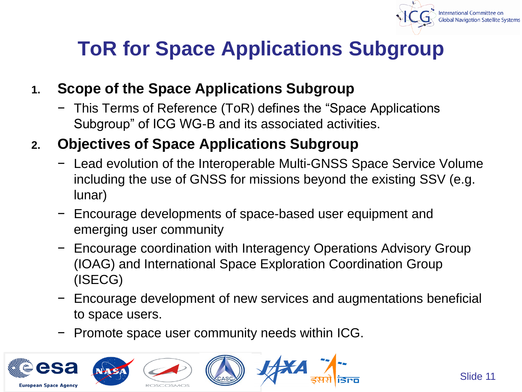

### **ToR for Space Applications Subgroup**

#### **1. Scope of the Space Applications Subgroup**

− This Terms of Reference (ToR) defines the "Space Applications Subgroup" of ICG WG-B and its associated activities.

#### **2. Objectives of Space Applications Subgroup**

- − Lead evolution of the Interoperable Multi-GNSS Space Service Volume including the use of GNSS for missions beyond the existing SSV (e.g. lunar)
- − Encourage developments of space-based user equipment and emerging user community
- − Encourage coordination with Interagency Operations Advisory Group (IOAG) and International Space Exploration Coordination Group (ISECG)
- − Encourage development of new services and augmentations beneficial to space users.
- − Promote space user community needs within ICG.

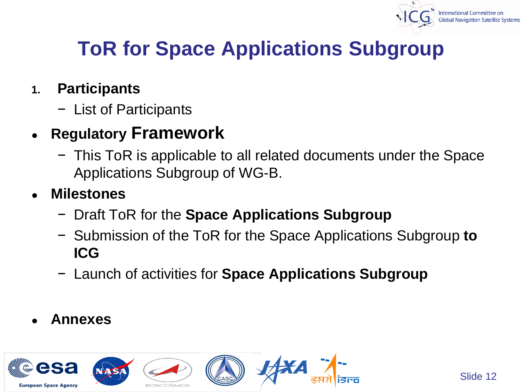

## **ToR for Space Applications Subgroup**

#### **1. Participants**

− List of Participants

### ● **Regulatory Framework**

− This ToR is applicable to all related documents under the Space Applications Subgroup of WG-B.

#### ● **Milestones**

- − Draft ToR for the **Space Applications Subgroup**
- − Submission of the ToR for the Space Applications Subgroup **to ICG**
- − Launch of activities for **Space Applications Subgroup**
- **Annexes**